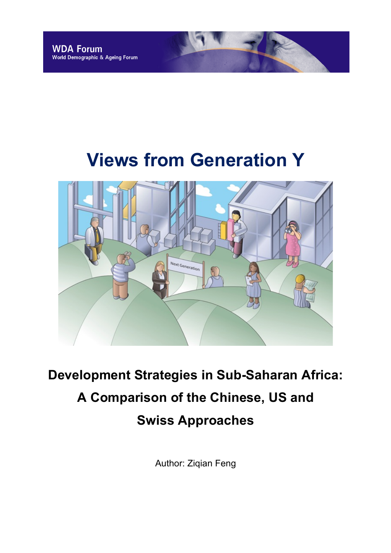# **Views from Generation Y**



# **Development Strategies in Sub-Saharan Africa: A Comparison of the Chinese, US and Swiss Approaches**

Author: Ziqian Feng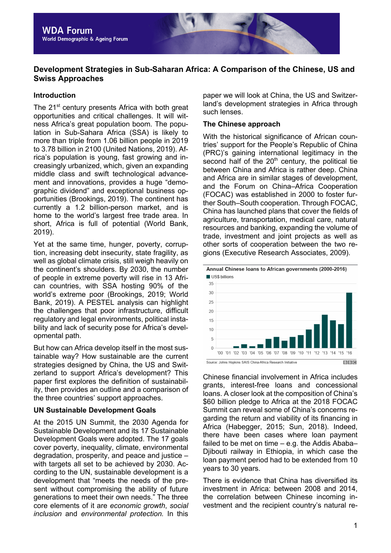

# **Development Strategies in Sub-Saharan Africa: A Comparison of the Chinese, US and Swiss Approaches**

#### **Introduction**

The 21<sup>st</sup> century presents Africa with both great opportunities and critical challenges. It will witness Africa's great population boom. The population in Sub-Sahara Africa (SSA) is likely to more than triple from 1.06 billion people in 2019 to 3.78 billion in 2100 (United Nations, 2019). Africa's population is young, fast growing and increasingly urbanized, which, given an expanding middle class and swift technological advancement and innovations, provides a huge "demographic dividend" and exceptional business opportunities (Brookings, 2019). The continent has currently a 1.2 billion-person market, and is home to the world's largest free trade area. In short, Africa is full of potential (World Bank, 2019).

Yet at the same time, hunger, poverty, corruption, increasing debt insecurity, state fragility, as well as global climate crisis, still weigh heavily on the continent's shoulders. By 2030, the number of people in extreme poverty will rise in 13 African countries, with SSA hosting 90% of the world's extreme poor (Brookings, 2019; World Bank, 2019). A PESTEL analysis can highlight the challenges that poor infrastructure, difficult regulatory and legal environments, political instability and lack of security pose for Africa's developmental path.

But how can Africa develop itself in the most sustainable way? How sustainable are the current strategies designed by China, the US and Switzerland to support Africa's development? This paper first explores the definition of sustainability, then provides an outline and a comparison of the three countries' support approaches.

#### **UN Sustainable Development Goals**

At the 2015 UN Summit, the 2030 Agenda for Sustainable Development and its 17 Sustainable Development Goals were adopted. The 17 goals cover poverty, inequality, climate, environmental degradation, prosperity, and peace and justice – with targets all set to be achieved by 2030. According to the UN, sustainable development is a development that "meets the needs of the present without compromising the ability of future generations to meet their own needs." The three core elements of it are *economic growth*, *social inclusion* and *environmental protection.* In this

paper we will look at China, the US and Switzerland's development strategies in Africa through such lenses.

#### **The Chinese approach**

With the historical significance of African countries' support for the People's Republic of China (PRC)'s gaining international legitimacy in the second half of the  $20<sup>th</sup>$  century, the political tie between China and Africa is rather deep. China and Africa are in similar stages of development, and the Forum on China–Africa Cooperation (FOCAC) was established in 2000 to foster further South–South cooperation. Through FOCAC, China has launched plans that cover the fields of agriculture, transportation, medical care, natural resources and banking, expanding the volume of trade, investment and joint projects as well as other sorts of cooperation between the two regions (Executive Research Associates, 2009).



Chinese financial involvement in Africa includes grants, interest-free loans and concessional loans. A closer look at the composition of China's \$60 billion pledge to Africa at the 2018 FOCAC Summit can reveal some of China's concerns regarding the return and viability of its financing in Africa (Habegger, 2015; Sun, 2018). Indeed, there have been cases where loan payment failed to be met on time – e.g. the Addis Ababa– Djibouti railway in Ethiopia, in which case the loan payment period had to be extended from 10 years to 30 years.

There is evidence that China has diversified its investment in Africa: between 2008 and 2014, the correlation between Chinese incoming investment and the recipient country's natural re-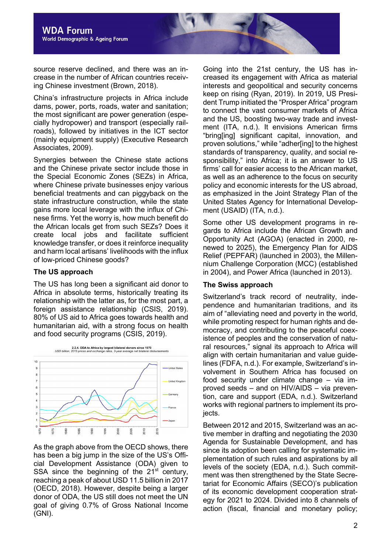source reserve declined, and there was an increase in the number of African countries receiving Chinese investment (Brown, 2018).

China's infrastructure projects in Africa include dams, power, ports, roads, water and sanitation; the most significant are power generation (especially hydropower) and transport (especially railroads), followed by initiatives in the ICT sector (mainly equipment supply) (Executive Research Associates, 2009).

Synergies between the Chinese state actions and the Chinese private sector include those in the Special Economic Zones (SEZs) in Africa, where Chinese private businesses enjoy various beneficial treatments and can piggyback on the state infrastructure construction, while the state gains more local leverage with the influx of Chinese firms. Yet the worry is, how much benefit do the African locals get from such SEZs? Does it create local jobs and facilitate sufficient knowledge transfer, or does it reinforce inequality and harm local artisans' livelihoods with the influx of low-priced Chinese goods?

#### **The US approach**

The US has long been a significant aid donor to Africa in absolute terms, historically treating its relationship with the latter as, for the most part, a foreign assistance relationship (CSIS, 2019). 80% of US aid to Africa goes towards health and humanitarian aid, with a strong focus on health and food security programs (CSIS, 2019).



As the graph above from the OECD shows, there has been a big jump in the size of the US's Official Development Assistance (ODA) given to SSA since the beginning of the  $21<sup>st</sup>$  century, reaching a peak of about USD 11.5 billion in 2017 (OECD, 2018). However, despite being a larger donor of ODA, the US still does not meet the UN goal of giving 0.7% of Gross National Income (GNI).

Going into the 21st century, the US has increased its engagement with Africa as material interests and geopolitical and security concerns keep on rising (Ryan, 2019). In 2019, US President Trump initiated the "Prosper Africa" program to connect the vast consumer markets of Africa and the US, boosting two-way trade and investment (ITA, n.d.). It envisions American firms "bring[ing] significant capital, innovation, and proven solutions," while "adher[ing] to the highest standards of transparency, quality, and social responsibility," into Africa; it is an answer to US firms' call for easier access to the African market, as well as an adherence to the focus on security policy and economic interests for the US abroad, as emphasized in the Joint Strategy Plan of the United States Agency for International Development (USAID) (ITA, n.d.).

Some other US development programs in regards to Africa include the African Growth and Opportunity Act (AGOA) (enacted in 2000, renewed to 2025), the Emergency Plan for AIDS Relief (PEPFAR) (launched in 2003), the Millennium Challenge Corporation (MCC) (established in 2004), and Power Africa (launched in 2013).

#### **The Swiss approach**

Switzerland's track record of neutrality, independence and humanitarian traditions, and its aim of "alleviating need and poverty in the world, while promoting respect for human rights and democracy, and contributing to the peaceful coexistence of peoples and the conservation of natural resources," signal its approach to Africa will align with certain humanitarian and value guidelines (FDFA, n.d.). For example, Switzerland's involvement in Southern Africa has focused on food security under climate change – via improved seeds – and on HIV/AIDS – via prevention, care and support (EDA, n.d.). Switzerland works with regional partners to implement its projects.

Between 2012 and 2015, Switzerland was an active member in drafting and negotiating the 2030 Agenda for Sustainable Development, and has since its adoption been calling for systematic implementation of such rules and aspirations by all levels of the society (EDA, n.d.). Such commitment was then strengthened by the State Secretariat for Economic Affairs (SECO)'s publication of its economic development cooperation strategy for 2021 to 2024. Divided into 8 channels of action (fiscal, financial and monetary policy;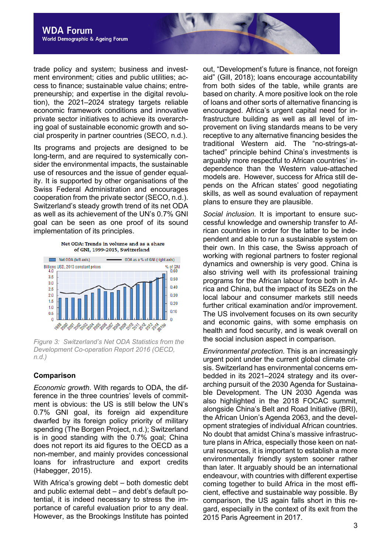trade policy and system; business and investment environment; cities and public utilities; access to finance; sustainable value chains; entrepreneurship; and expertise in the digital revolution), the 2021–2024 strategy targets reliable economic framework conditions and innovative private sector initiatives to achieve its overarching goal of sustainable economic growth and social prosperity in partner countries (SECO, n.d.).

Its programs and projects are designed to be long-term, and are required to systemically consider the environmental impacts, the sustainable use of resources and the issue of gender equality. It is supported by other organisations of the Swiss Federal Administration and encourages cooperation from the private sector (SECO, n.d.). Switzerland's steady growth trend of its net ODA as well as its achievement of the UN's 0.7% GNI goal can be seen as one proof of its sound implementation of its principles.

Net ODA: Trends in volume and as a share of GNI, 1999-2015, Switzerland



*Figure 3: Switzerland's Net ODA Statistics from the Development Co-operation Report 2016 (OECD, n.d.)*

#### **Comparison**

*Economic growth*. With regards to ODA, the difference in the three countries' levels of commitment is obvious: the US is still below the UN's 0.7% GNI goal, its foreign aid expenditure dwarfed by its foreign policy priority of military spending (The Borgen Project, n.d.); Switzerland is in good standing with the 0.7% goal; China does not report its aid figures to the OECD as a non-member, and mainly provides concessional loans for infrastructure and export credits (Habegger, 2015).

With Africa's growing debt – both domestic debt and public external debt – and debt's default potential, it is indeed necessary to stress the importance of careful evaluation prior to any deal. However, as the Brookings Institute has pointed out, "Development's future is finance, not foreign aid" (Gill, 2018); loans encourage accountability from both sides of the table, while grants are based on charity. A more positive look on the role of loans and other sorts of alternative financing is encouraged. Africa's urgent capital need for infrastructure building as well as all level of improvement on living standards means to be very receptive to any alternative financing besides the traditional Western aid. The "no-strings-attached" principle behind China's investments is arguably more respectful to African countries' independence than the Western value-attached models are. However, success for Africa still depends on the African states' good negotiating skills, as well as sound evaluation of repayment plans to ensure they are plausible.

*Social inclusion.* It is important to ensure successful knowledge and ownership transfer to African countries in order for the latter to be independent and able to run a sustainable system on their own. In this case, the Swiss approach of working with regional partners to foster regional dynamics and ownership is very good. China is also striving well with its professional training programs for the African labour force both in Africa and China, but the impact of its SEZs on the local labour and consumer markets still needs further critical examination and/or improvement. The US involvement focuses on its own security and economic gains, with some emphasis on health and food security, and is weak overall on the social inclusion aspect in comparison.

*Environmental protection.* This is an increasingly urgent point under the current global climate crisis. Switzerland has environmental concerns embedded in its 2021–2024 strategy and its overarching pursuit of the 2030 Agenda for Sustainable Development. The UN 2030 Agenda was also highlighted in the 2018 FOCAC summit, alongside China's Belt and Road Initiative (BRI), the African Union's Agenda 2063, and the development strategies of individual African countries. No doubt that amidst China's massive infrastructure plans in Africa, especially those keen on natural resources, it is important to establish a more environmentally friendly system sooner rather than later. It arguably should be an international endeavour, with countries with different expertise coming together to build Africa in the most efficient, effective and sustainable way possible. By comparison, the US again falls short in this regard, especially in the context of its exit from the 2015 Paris Agreement in 2017.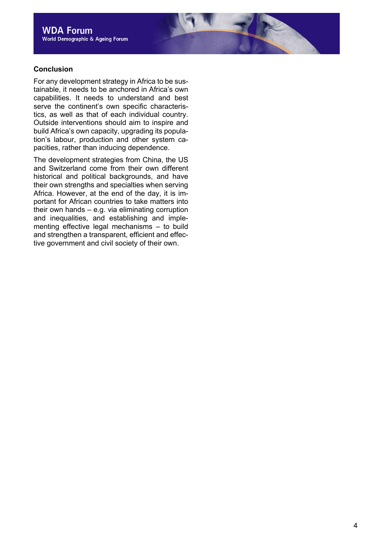#### **Conclusion**

For any development strategy in Africa to be sustainable, it needs to be anchored in Africa's own capabilities. It needs to understand and best serve the continent's own specific characteristics, as well as that of each individual country. Outside interventions should aim to inspire and build Africa's own capacity, upgrading its population's labour, production and other system capacities, rather than inducing dependence.

The development strategies from China, the US and Switzerland come from their own different historical and political backgrounds, and have their own strengths and specialties when serving Africa. However, at the end of the day, it is important for African countries to take matters into their own hands – e.g. via eliminating corruption and inequalities, and establishing and implementing effective legal mechanisms – to build and strengthen a transparent, efficient and effective government and civil society of their own.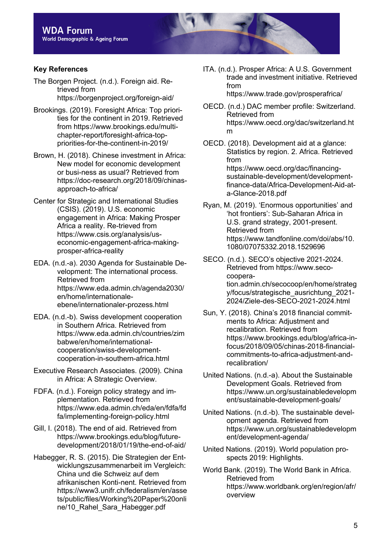## **Key References**

The Borgen Project. (n.d.). Foreign aid. Retrieved from https://borgenproject.org/foreign-aid/

- Brookings. (2019). Foresight Africa: Top priorities for the continent in 2019. Retrieved from https://www.brookings.edu/multichapter-report/foresight-africa-toppriorities-for-the-continent-in-2019/
- Brown, H. (2018). Chinese investment in Africa: New model for economic development or busi-ness as usual? Retrieved from https://doc-research.org/2018/09/chinasapproach-to-africa/
- Center for Strategic and International Studies (CSIS). (2019). U.S. economic engagement in Africa: Making Prosper Africa a reality. Re-trieved from https://www.csis.org/analysis/useconomic-engagement-africa-makingprosper-africa-reality
- EDA. (n.d.-a). 2030 Agenda for Sustainable Development: The international process. Retrieved from https://www.eda.admin.ch/agenda2030/ en/home/internationaleebene/internationaler-prozess.html
- EDA. (n.d.-b). Swiss development cooperation in Southern Africa. Retrieved from https://www.eda.admin.ch/countries/zim babwe/en/home/internationalcooperation/swiss-developmentcooperation-in-southern-africa.html
- Executive Research Associates. (2009). China in Africa: A Strategic Overview.
- FDFA. (n.d.). Foreign policy strategy and implementation. Retrieved from https://www.eda.admin.ch/eda/en/fdfa/fd fa/implementing-foreign-policy.html
- Gill, I. (2018). The end of aid. Retrieved from https://www.brookings.edu/blog/futuredevelopment/2018/01/19/the-end-of-aid/
- Habegger, R. S. (2015). Die Strategien der Entwicklungszusammenarbeit im Vergleich: China und die Schweiz auf dem afrikanischen Konti-nent. Retrieved from https://www3.unifr.ch/federalism/en/asse ts/public/files/Working%20Paper%20onli ne/10\_Rahel\_Sara\_Habegger.pdf

ITA. (n.d.). Prosper Africa: A U.S. Government trade and investment initiative. Retrieved from https://www.trade.gov/prosperafrica/

OECD. (n.d.) DAC member profile: Switzerland. Retrieved from https://www.oecd.org/dac/switzerland.ht m

- OECD. (2018). Development aid at a glance: Statistics by region. 2. Africa. Retrieved from https://www.oecd.org/dac/financingsustainable-development/developmentfinance-data/Africa-Development-Aid-ata-Glance-2018.pdf
- Ryan, M. (2019). 'Enormous opportunities' and 'hot frontiers': Sub-Saharan Africa in U.S. grand strategy, 2001-present. Retrieved from https://www.tandfonline.com/doi/abs/10. 1080/07075332.2018.1529696
- SECO. (n.d.). SECO's objective 2021-2024. Retrieved from https://www.secocooperation.admin.ch/secocoop/en/home/strateg y/focus/strategische\_ausrichtung\_2021- 2024/Ziele-des-SECO-2021-2024.html
- Sun, Y. (2018). China's 2018 financial commitments to Africa: Adjustment and recalibration. Retrieved from https://www.brookings.edu/blog/africa-infocus/2018/09/05/chinas-2018-financialcommitments-to-africa-adjustment-andrecalibration/
- United Nations. (n.d.-a). About the Sustainable Development Goals. Retrieved from https://www.un.org/sustainabledevelopm ent/sustainable-development-goals/
- United Nations. (n.d.-b). The sustainable development agenda. Retrieved from https://www.un.org/sustainabledevelopm ent/development-agenda/
- United Nations. (2019). World population prospects 2019: Highlights.
- World Bank. (2019). The World Bank in Africa. Retrieved from https://www.worldbank.org/en/region/afr/ overview